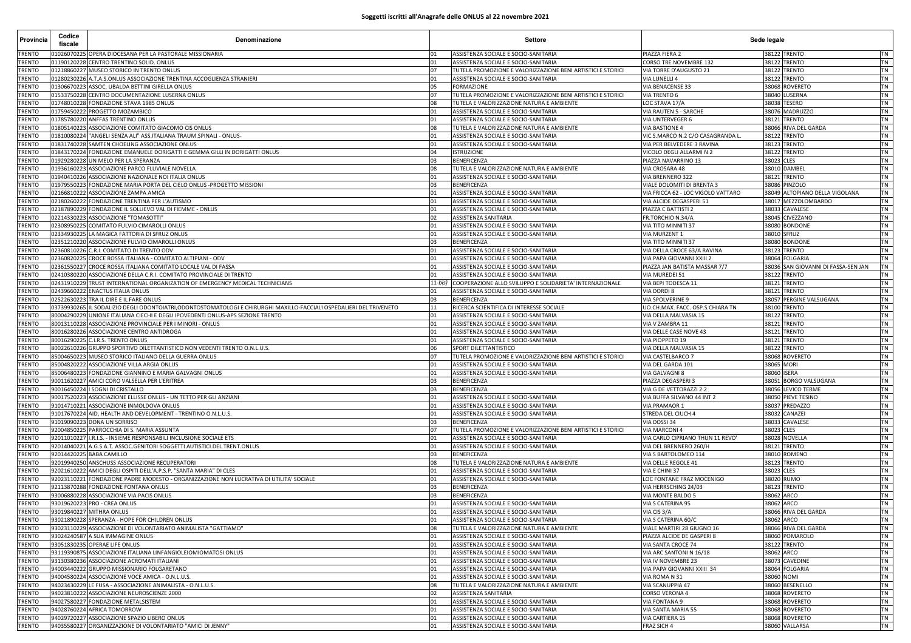## **Soggetti iscritti all'Anagrafe delle ONLUS al 22 novembre 2021**

| Provincia                      | Codice<br>fiscale | Denominazione                                                                                                                                                 |                | Settore                                                                                          | Sede legale                                 |                                                                   |
|--------------------------------|-------------------|---------------------------------------------------------------------------------------------------------------------------------------------------------------|----------------|--------------------------------------------------------------------------------------------------|---------------------------------------------|-------------------------------------------------------------------|
| TRENTO                         |                   | 1026070225 OPERA DIOCESANA PER LA PASTORALE MISSIONARIA                                                                                                       | 01             | ASSISTENZA SOCIALE E SOCIO-SANITARIA                                                             | PIAZZA FIERA 2                              | 38122 TRENTO<br>TN                                                |
| <b>TRENTO</b>                  |                   | 01190120228 CENTRO TRENTINO SOLID. ONLUS                                                                                                                      | 01             | ASSISTENZA SOCIALE E SOCIO-SANITARIA                                                             | CORSO TRE NOVEMBRE 132                      | 38122 TRENTO<br><b>TN</b>                                         |
| TRENTO                         |                   | 01218860227 MUSEO STORICO IN TRENTO ONLUS                                                                                                                     | 07             | TUTELA PROMOZIONE E VALORIZZAZIONE BENI ARTISTICI E STORICI                                      | VIA TORRE D'AUGUSTO 21                      | 38122 TRENTO<br><b>TN</b>                                         |
| TRENTO<br><b>TRENTO</b>        |                   | 01280230226 A.T.A.S.ONLUS ASSOCIAZIONE TRENTINA ACCOGLIENZA STRANIERI<br>01306670223 ASSOC. UBALDA BETTINI GIRELLA ONLUS                                      | 01<br>05       | ASSISTENZA SOCIALE E SOCIO-SANITARIA<br><b>FORMAZIONE</b>                                        | VIA LUNELLI 4<br>VIA BENACENSE 33           | 38122 TRENTO<br><b>TN</b><br>38068 ROVERETC<br>TN                 |
| <b>RENTO</b>                   |                   | 01533750228 CENTRO DOCUMENTAZIONE LUSERNA ONLUS                                                                                                               | 07             | TUTELA PROMOZIONE E VALORIZZAZIONE BENI ARTISTICI E STORICI                                      | VIA TRENTO 6                                | 38040<br>LUSERNA<br><b>TN</b>                                     |
| TRENTO                         |                   | 01748010228 FONDAZIONE STAVA 1985 ONLUS                                                                                                                       | 08             | TUTELA E VALORIZZAZIONE NATURA E AMBIENTE                                                        | LOC STAVA 17/A                              | 38038 TESERO<br><b>TN</b>                                         |
| <b>TRENTO</b>                  |                   | 01759450222 PROGETTO MOZAMBICO                                                                                                                                | 01             | ASSISTENZA SOCIALE E SOCIO-SANITARIA                                                             | VIA RAUTEN 5 - SARCHE                       | 38076 MADRUZZC<br><b>TN</b>                                       |
| <b>TRENTO</b>                  |                   | 01785780220 ANFFAS TRENTINO ONLUS                                                                                                                             | 01             | ASSISTENZA SOCIALE E SOCIO-SANITARIA                                                             | VIA UNTERVEGER 6                            | 38121 TRENTO<br><b>TN</b>                                         |
| <b>RENTO</b>                   |                   | 01805140223 ASSOCIAZIONE COMITATO GIACOMO CIS ONLUS                                                                                                           | 08             | TUTELA E VALORIZZAZIONE NATURA E AMBIENTE                                                        | VIA BASTIONE 4                              | 38066 RIVA DEL GARDA<br><b>TN</b>                                 |
| TRENTO                         | 01810080224       | "ANGELI SENZA ALI" ASS.ITALIANA TRAUM.SPINALI - ONLUS-                                                                                                        | 01             | ASSISTENZA SOCIALE E SOCIO-SANITARIA                                                             | VIC.S.MARCO N.2 C/O CASAGRANDA L.           | 38122 TRENTO<br><b>TN</b>                                         |
| <b>TRENTO</b>                  |                   | 01831740228 SAMTEN CHOELING ASSOCIAZIONE ONLUS                                                                                                                | 01             | ASSISTENZA SOCIALE E SOCIO-SANITARIA                                                             | VIA PER BELVEDERE 3 RAVINA                  | 38123 TRENTO<br><b>TN</b>                                         |
| <b>TRENTO</b>                  |                   | 01843170224 FONDAZIONE EMANUELE DORIGATTI E GEMMA GILLI IN DORIGATTI ONLUS                                                                                    | 04             | <b>ISTRUZIONE</b>                                                                                | VICOLO DEGLI ALLARMI N 2                    | 38122 TRENTO<br><b>TN</b>                                         |
| <b>RENTO</b>                   |                   | 01929280228 UN MELO PER LA SPERANZA                                                                                                                           | 03             | <b>BENEFICENZA</b>                                                                               | PIAZZA NAVARRINO 13                         | 38023 CLES<br><b>TN</b>                                           |
| <b>TRENTO</b><br><b>TRENTO</b> | 01936160223       | ASSOCIAZIONE PARCO FLUVIALE NOVELLA<br>01940410226 ASSOCIAZIONE NAZIONALE NOI ITALIA ONLUS                                                                    | 08             | TUTELA E VALORIZZAZIONE NATURA E AMBIENTE<br>ASSISTENZA SOCIALE E SOCIO-SANITARIA                | VIA CROSARA 48<br>VIA BRENNERO 322          | 38010 DAMBEI<br><b>TN</b><br>38121 TRENTO<br>TN                   |
| <b>TRENTO</b>                  | 01979550223       | FONDAZIONE MARIA PORTA DEL CIELO ONLUS -PROGETTO MISSIONI                                                                                                     | 01<br>03       | <b>BENEFICENZA</b>                                                                               | VIALE DOLOMITI DI BRENTA 3                  | 38086<br>PINZOLO<br>TN                                            |
| <b>TRENTO</b>                  |                   | 02166810222 ASSOCIAZIONE ZAMPA AMICA                                                                                                                          | 01             | ASSISTENZA SOCIALE E SOCIO-SANITARIA                                                             | VIA FRICCA 62 - LOC VIGOLO VATTARO          | 38049 ALTOPIANO DELLA VIGOLANA<br>TN                              |
| TRENTO                         | 02180260222       | FONDAZIONE TRENTINA PER L'AUTISMO                                                                                                                             | 01             | ASSISTENZA SOCIALE E SOCIO-SANITARIA                                                             | VIA ALCIDE DEGASPERI 51                     | 38017 MEZZOLOMBARDO<br><b>TN</b>                                  |
| <b>TRENTO</b>                  |                   | 02187890229 FONDAZIONE IL SOLLIEVO VAL DI FIEMME - ONLUS                                                                                                      | 01             | ASSISTENZA SOCIALE E SOCIO-SANITARIA                                                             | PIAZZA C BATTISTI 2                         | 38033 CAVALESE<br>TN                                              |
| <b>TRENTO</b>                  |                   | 02214330223 ASSOCIAZIONE "TOMASOTTI                                                                                                                           | 02             | ASSISTENZA SANITARIA                                                                             | FR.TORCHIO N.34/A                           | 38045 CIVEZZANO<br><b>TN</b>                                      |
| <b>TRENTO</b>                  |                   | 2308950225 COMITATO FULVIO CIMAROLLI ONLUS                                                                                                                    | 01             | ASSISTENZA SOCIALE E SOCIO-SANITARIA                                                             | VIA TITO MINNITI 37                         | 38080 BONDONE<br>TN                                               |
| TRENTO                         |                   | 2334930225 LA MAGICA FATTORIA DI SFRUZ ONLUS                                                                                                                  | 01             | ASSISTENZA SOCIALE E SOCIO-SANITARIA                                                             | VIA MURZENT 1                               | 38010 SFRUZ<br><b>TN</b>                                          |
| <b>TRENTO</b>                  |                   | 02351210220 ASSOCIAZIONE FULVIO CIMAROLLI ONLUS                                                                                                               | 03             | <b>BENEFICENZA</b>                                                                               | VIA TITO MINNITI 37                         | 38080 BONDONE<br>TN                                               |
| <b>TRENTO</b>                  |                   | 02360810226 C.R.I. COMITATO DI TRENTO ODV                                                                                                                     | 01             | ASSISTENZA SOCIALE E SOCIO-SANITARIA                                                             | VIA DELLA CROCE 63/A RAVINA                 | 38123 TRENTO<br>TN                                                |
| <b>TRENTO</b>                  |                   | 02360820225 CROCE ROSSA ITALIANA - COMITATO ALTIPIANI - ODV                                                                                                   | 01             | ASSISTENZA SOCIALE E SOCIO-SANITARIA                                                             | VIA PAPA GIOVANNI XXIII 2                   | 38064 FOLGARIA<br>TN                                              |
| TRENTO                         |                   | 02361550227 CROCE ROSSA ITALIANA COMITATO LOCALE VAL DI FASSA                                                                                                 | 01             | ASSISTENZA SOCIALE E SOCIO-SANITARIA                                                             | PIAZZA JAN BATISTA MASSAR 7/7               | 38036 SAN GIOVANNI DI FASSA-SEN JAN<br><b>TN</b>                  |
| TRENTO<br>TRENTO               |                   | 02410380220 ASSOCIAZIONE DELLA C.R.I. COMITATO PROVINCIALE DI TRENTO<br>)2431910229 TRUST INTERNATIONAL ORGANIZATION OF EMERGENCY MEDICAL TECHNICIANS         | 01<br>$11-bis$ | ASSISTENZA SOCIALE E SOCIO-SANITARIA<br>COOPERAZIONE ALLO SVILUPPO E SOLIDARIETA' INTERNAZIONALE | VIA MUREDEI 51<br>VIA BEPI TODESCA 11       | 38122 TRENTO<br>TN<br>38121 TRENTO<br><b>TN</b>                   |
| TRENTO                         |                   | 02439660222 ENACTUS ITALIA ONLUS                                                                                                                              | 01             | ASSISTENZA SOCIALE E SOCIO-SANITARIA                                                             | VIA DORDI 8                                 | 38121 TRENTO<br><b>TN</b>                                         |
| <b>TRENTO</b>                  |                   | 02522630223 TRA IL DIRE E IL FARE ONLUS                                                                                                                       | 03             | BENEFICENZA                                                                                      | VIA SPOLVERINE 9                            | 38057 PERGINE VALSUGANA<br>TN                                     |
| <b>TRENTO</b>                  |                   | 03739930265 IIL SODALIZIO DEGLI ODONTOIATRI,ODONTOSTOMATOLOGI E CHIRURGHI MAXILLO-FACCIALI OSPEDALIERI DEL TRIVENETO                                          | 11             | RICERCA SCIENTIFICA DI INTERESSE SOCIALE                                                         | UO.CH.MAX. FACC. OSP.S.CHIARA TN            | 38100 TRENTO<br><b>TN</b>                                         |
| TRENTO                         |                   | 80004290229 UNIONE ITALIANA CIECHI E DEGLI IPOVEDENTI ONLUS-APS SEZIONE TRENTO                                                                                | 01             | ASSISTENZA SOCIALE E SOCIO-SANITARIA                                                             | VIA DELLA MALVASIA 15                       | 38122 TRENTO<br><b>TN</b>                                         |
| TRENTO                         |                   | 80013110228 ASSOCIAZIONE PROVINCIALE PER I MINORI - ONLUS                                                                                                     | 01             | ASSISTENZA SOCIALE E SOCIO-SANITARIA                                                             | VIA V ZAMBRA 11                             | 38121 TRENTO<br><b>TN</b>                                         |
| TRENTO                         |                   | 80016280226 ASSOCIAZIONE CENTRO ANTIDROGA                                                                                                                     | 01             | ASSISTENZA SOCIALE E SOCIO-SANITARIA                                                             | VIA DELLE CASE NOVE 43                      | 38121 TRENTO<br>TN                                                |
| <b>TRENTO</b>                  |                   | 80016290225 C.I.R.S. TRENTO ONLUS                                                                                                                             | 01             | ASSISTENZA SOCIALE E SOCIO-SANITARIA                                                             | VIA PIOPPETO 19                             | 38121 TRENTO<br><b>TN</b>                                         |
| <b>RENTO</b>                   |                   | 80022610226 GRUPPO SPORTIVO DILETTANTISTICO NON VEDENTI TRENTO O.N.L.U.S.                                                                                     | 06             | SPORT DILETTANTISTICO                                                                            | VIA DELLA MALVASIA 15                       | 38122 TRENTO<br><b>TN</b>                                         |
| TRENTO                         |                   | 85004650223 MUSEO STORICO ITALIANO DELLA GUERRA ONLUS                                                                                                         | 07             | TUTELA PROMOZIONE E VALORIZZAZIONE BENI ARTISTICI E STORICI                                      | VIA CASTELBARCO 7                           | 38068 ROVERETC<br><b>TN</b>                                       |
| <b>TRENTO</b>                  |                   | 85004820222 ASSOCIAZIONE VILLA ARGIA ONLUS                                                                                                                    | 01             | ASSISTENZA SOCIALE E SOCIO-SANITARIA                                                             | VIA DEL GARDA 101                           | 38065 MORI<br><b>TN</b>                                           |
| <b>TRENTO</b><br><b>TRENTO</b> |                   | 85006480223 FONDAZIONE GIANNINO E MARIA GALVAGNI ONLUS<br>90011620227 AMICI CORO VALSELLA PER L'ERITREA                                                       | 01             | ASSISTENZA SOCIALE E SOCIO-SANITARIA                                                             | VIA GALVAGNI 8<br>PIAZZA DEGASPERI 3        | 38060<br><b>ISERA</b><br><b>TN</b><br>38051 BORGO VALSUGANA<br>TN |
| <b>TRENTO</b>                  | 90016450224       | I SOGNI DI CRISTALLO                                                                                                                                          | 03<br>03       | BENEFICENZA<br>BENEFICENZA                                                                       | VIA G DE VETTORAZZI 2 2                     | 38056 LEVICO TERME<br><b>TN</b>                                   |
| <b>TRENTO</b>                  |                   | 90017520223 ASSOCIAZIONE ELLISSE ONLUS - UN TETTO PER GLI ANZIANI                                                                                             | 01             | ASSISTENZA SOCIALE E SOCIO-SANITARIA                                                             | VIA BUFFA SILVANO 44 INT 2                  | 38050 PIEVE TESINO<br>TN                                          |
| <b>TRENTO</b>                  |                   | 91014710221 ASSOCIAZIONE INMOLDOVA ONLUS                                                                                                                      | 01             | ASSISTENZA SOCIALE E SOCIO-SANITARIA                                                             | VIA PRAMAOR 1                               | 38037 PREDAZZO<br><b>TN</b>                                       |
| <b>TRENTO</b>                  |                   | 91017670224 AID, HEALTH AND DEVELOPMENT - TRENTINO O.N.L.U.S.                                                                                                 | 01             | ASSISTENZA SOCIALE E SOCIO-SANITARIA                                                             | STREDA DEL CIUCH 4                          | 38032 CANAZEI<br>TN                                               |
| TRENTO                         |                   | 91019090223 DONA UN SORRISO                                                                                                                                   | 03             | <b>BENEFICENZA</b>                                                                               | VIA DOSSI 34                                | 38033 CAVALESE<br><b>TN</b>                                       |
| <b>TRENTO</b>                  |                   | 92004850225 PARROCCHIA DI S. MARIA ASSUNTA                                                                                                                    | 07             | TUTELA PROMOZIONE E VALORIZZAZIONE BENI ARTISTICI E STORICI                                      | VIA MARCONI 4                               | 38023 CLES<br><b>TN</b>                                           |
| <b>TRENTO</b>                  |                   | 92011010227 I.R.I.S. - INSIEME RESPONSABILI INCLUSIONE SOCIALE ETS                                                                                            |                | ASSISTENZA SOCIALE E SOCIO-SANITARIA                                                             | VIA CARLO CIPRIANO THUN 11 REVO'            | 38028 NOVELLA<br><b>TN</b>                                        |
| <b>TRENTO</b>                  |                   | 92014040221 A.G.S.A.T. ASSOC.GENITORI SOGGETTI AUTISTICI DEL TRENT.ONLUS                                                                                      | 01             | ASSISTENZA SOCIALE E SOCIO-SANITARIA                                                             | VIA DEL BRENNERO 260/H                      | 38121 TRENTO<br>TN                                                |
| <b>TRENTO</b>                  |                   | 92014420225 BABA CAMILLO                                                                                                                                      | 03             | <b>BENEFICENZA</b>                                                                               | VIA S BARTOLOMEO 114                        | 38010 ROMENO<br><b>TN</b>                                         |
| TRENTO                         |                   | 92019940250 ANSCHUSS ASSOCIAZIONE RECUPERATORI                                                                                                                | 08             | TUTELA E VALORIZZAZIONE NATURA E AMBIENTE                                                        | VIA DELLE REGOLE 41                         | 38123 TRENTO<br><b>TN</b>                                         |
| TRENTO<br>TRENTO               |                   | 92021610222 AMICI DEGLI OSPITI DELL'A.P.S.P. "SANTA MARIA" DI CLES<br>92023110221 FONDAZIONE PADRE MODESTO - ORGANIZZAZIONE NON LUCRATIVA DI UTILITA' SOCIALE | 01<br>01       | ASSISTENZA SOCIALE E SOCIO-SANITARIA<br>ASSISTENZA SOCIALE E SOCIO-SANITARIA                     | VIA E CHINI 37<br>LOC FONTANE FRAZ MOCENIGO | 38023 CLES<br><b>TN</b><br>38020 RUMO<br><b>TN</b>                |
| TRENTO                         | 92113870288       | FONDAZIONE FONTANA ONLUS                                                                                                                                      | 03             | <b>BENEFICENZA</b>                                                                               | VIA HERRSCHING 24/03                        | 38123 TRENTO<br><b>TN</b>                                         |
| <b>TRENTO</b>                  |                   | 93006880228 ASSOCIAZIONE VIA PACIS ONLUS                                                                                                                      | 03             | <b>BENEFICENZA</b>                                                                               | VIA MONTE BALDO 5                           | 38062 ARCO<br><b>TN</b>                                           |
| TRENTO                         |                   | 93019620223 PRO - CREA ONLUS                                                                                                                                  |                | ASSISTENZA SOCIALE E SOCIO-SANITARIA                                                             | VIA S CATERINA 95                           | 38062 ARCO<br>TN                                                  |
| TRENTO                         |                   | 93019840227 MITHRA ONLUS                                                                                                                                      | 01             | ASSISTENZA SOCIALE E SOCIO-SANITARIA                                                             | VIA CIS 3/A                                 | 38066 RIVA DEL GARDA<br><b>TN</b>                                 |
| TRENTO                         |                   | 93021890228 SPERANZA - HOPE FOR CHILDREN ONLUS                                                                                                                | 01             | ASSISTENZA SOCIALE E SOCIO-SANITARIA                                                             | VIA S CATERINA 60/C                         | 38062 ARCO<br>TN                                                  |
| TRENTO                         |                   | 93023110229 ASSOCIAZIONE DI VOLONTARIATO ANIMALISTA "GATTIAMO"                                                                                                | 08             | TUTELA E VALORIZZAZIONE NATURA E AMBIENTE                                                        | VIALE MARTIRI 28 GIUGNO 16                  | 38066 RIVA DEL GARDA<br><b>TN</b>                                 |
| TRENTO                         |                   | 93024240587 A SUA IMMAGINE ONLUS                                                                                                                              | 01             | ASSISTENZA SOCIALE E SOCIO-SANITARIA                                                             | PIAZZA ALCIDE DE GASPERI 8                  | 38060 POMAROLO<br><b>TN</b>                                       |
| TRENTO                         |                   | 93051830235 OPERAE LIFE ONLUS                                                                                                                                 | 01             | ASSISTENZA SOCIALE E SOCIO-SANITARIA                                                             | VIA SANTA CROCE 74                          | 38122 TRENTO<br><b>TN</b>                                         |
| TRENTO                         |                   | 93119390875 ASSOCIAZIONE ITALIANA LINFANGIOLEIOMIOMATOSI ONLUS                                                                                                | 01             | ASSISTENZA SOCIALE E SOCIO-SANITARIA                                                             | VIA ARC SANTONI N 16/18                     | 38062 ARCO<br><b>TN</b>                                           |
| TRENTO                         |                   | 93130380236 ASSOCIAZIONE ACROMATI ITALIANI                                                                                                                    | 01             | ASSISTENZA SOCIALE E SOCIO-SANITARIA                                                             | VIA IV NOVEMBRE 23                          | 38073 CAVEDINE<br><b>TN</b>                                       |
| TRENTO                         |                   | 94003440222 GRUPPO MISSIONARIO FOLGARETANO                                                                                                                    | 01<br>01       | ASSISTENZA SOCIALE E SOCIO-SANITARIA                                                             | VIA PAPA GIOVANNI XXIII 34                  | 38064 FOLGARIA<br><b>TN</b><br>38060 NOMI<br><b>TN</b>            |
| TRENTO<br>TRENTO               |                   | 94004580224 ASSOCIAZIONE VOCE AMICA - O.N.L.U.S.<br>94023430229 LE FUSA - ASSOCIAZIONE ANIMALISTA - O.N.L.U.S.                                                | 08             | ASSISTENZA SOCIALE E SOCIO-SANITARIA<br>TUTELA E VALORIZZAZIONE NATURA E AMBIENTE                | VIA ROMA N 31<br>VIA SCANUPPIA 47           | 38060 BESENELLO<br>TN                                             |
| TRENTO                         |                   | 94023810222 ASSOCIAZIONE NEUROSCIENZE 2000                                                                                                                    | 02             | ASSISTENZA SANITARIA                                                                             | CORSO VERONA 4                              | 38068 ROVERETO<br><b>TN</b>                                       |
| TRENTO                         |                   | 94027580227 FONDAZIONE METALSISTEM                                                                                                                            | 01             | ASSISTENZA SOCIALE E SOCIO-SANITARIA                                                             | VIA FONTANA 9                               | 38068 ROVERETO<br>TN                                              |
| TRENTO                         |                   | 94028760224 AFRICA TOMORROW                                                                                                                                   | 01             | ASSISTENZA SOCIALE E SOCIO-SANITARIA                                                             | VIA SANTA MARIA 55                          | 38068 ROVERETO<br><b>TN</b>                                       |
| TRENTO                         |                   | 94029720227 ASSOCIAZIONE SPAZIO LIBERO ONLUS                                                                                                                  | 01             | ASSISTENZA SOCIALE E SOCIO-SANITARIA                                                             | VIA CARTIERA 15                             | 38068 ROVERETO<br><b>TN</b>                                       |
| TRENTO                         |                   | 94035580227 ORGANIZZAZIONE DI VOLONTARIATO "AMICI DI JENNY"                                                                                                   | 01             | ASSISTENZA SOCIALE E SOCIO-SANITARIA                                                             | FRAZ SICH 4                                 | 38060 VALLARSA<br><b>TN</b>                                       |